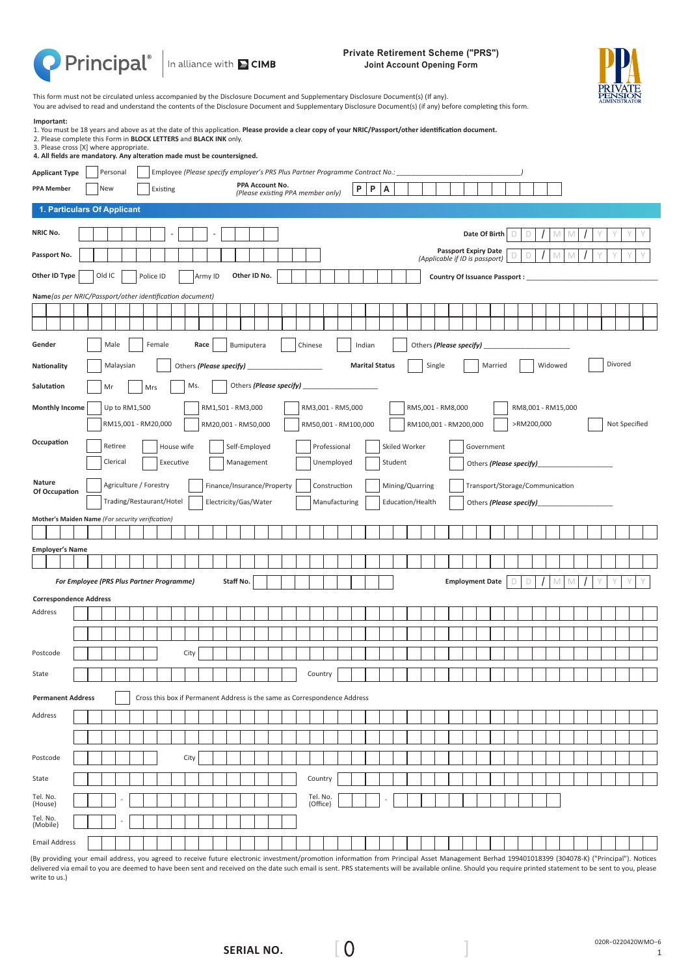| <b>P</b> Principal® |
|---------------------|
|---------------------|

**Important:**

In alliance with **DCIMB** 

**Private Retirement Scheme ("PRS") Joint Account Opening Form**



This form must not be circulated unless accompanied by the Disclosure Document and Supplementary Disclosure Document(s) (If any). You are advised to read and understand the contents of the Disclosure Document and Supplementary Disclosure Document(s) (if any) before completing this form.

| important:<br>1. You must be 18 years and above as at the date of this application. Please provide a clear copy of your NRIC/Passport/other identification document.<br>2. Please complete this Form in BLOCK LETTERS and BLACK INK only.<br>3. Please cross [X] where appropriate.<br>4. All fields are mandatory. Any alteration made must be countersigned. |                                                                                                                           |                                                      |          |                     |  |           |          |            |                                                                              |  |                     |  |                                                      |                                                                    |                      |  |                      |   |   |   |         |               |                       |        |  |  |  |                                  |   |                         |                    |  |  |               |  |  |
|----------------------------------------------------------------------------------------------------------------------------------------------------------------------------------------------------------------------------------------------------------------------------------------------------------------------------------------------------------------|---------------------------------------------------------------------------------------------------------------------------|------------------------------------------------------|----------|---------------------|--|-----------|----------|------------|------------------------------------------------------------------------------|--|---------------------|--|------------------------------------------------------|--------------------------------------------------------------------|----------------------|--|----------------------|---|---|---|---------|---------------|-----------------------|--------|--|--|--|----------------------------------|---|-------------------------|--------------------|--|--|---------------|--|--|
| <b>Applicant Type</b>                                                                                                                                                                                                                                                                                                                                          |                                                                                                                           |                                                      | Personal |                     |  |           |          |            | Employee (Please specify employer's PRS Plus Partner Programme Contract No.: |  |                     |  |                                                      |                                                                    |                      |  |                      |   |   |   |         |               |                       |        |  |  |  |                                  |   |                         |                    |  |  |               |  |  |
| <b>PPA Member</b>                                                                                                                                                                                                                                                                                                                                              |                                                                                                                           |                                                      | New      |                     |  |           | Existing |            |                                                                              |  |                     |  | PPA Account No.<br>(Please existing PPA member only) |                                                                    |                      |  |                      | P | P | Α |         |               |                       |        |  |  |  |                                  |   |                         |                    |  |  |               |  |  |
| 1. Particulars Of Applicant                                                                                                                                                                                                                                                                                                                                    |                                                                                                                           |                                                      |          |                     |  |           |          |            |                                                                              |  |                     |  |                                                      |                                                                    |                      |  |                      |   |   |   |         |               |                       |        |  |  |  |                                  |   |                         |                    |  |  |               |  |  |
| NRIC No.                                                                                                                                                                                                                                                                                                                                                       |                                                                                                                           |                                                      |          |                     |  |           |          |            |                                                                              |  |                     |  |                                                      |                                                                    |                      |  |                      |   |   |   |         |               |                       |        |  |  |  | Date Of Birth                    | D | D                       |                    |  |  |               |  |  |
|                                                                                                                                                                                                                                                                                                                                                                |                                                                                                                           |                                                      |          |                     |  |           |          |            |                                                                              |  |                     |  |                                                      |                                                                    |                      |  |                      |   |   |   |         |               |                       |        |  |  |  | <b>Passport Expiry Date</b>      |   |                         |                    |  |  |               |  |  |
| Passport No.                                                                                                                                                                                                                                                                                                                                                   |                                                                                                                           |                                                      |          |                     |  |           |          |            |                                                                              |  |                     |  |                                                      |                                                                    |                      |  |                      |   |   |   |         |               |                       |        |  |  |  | (Applicable if ID is passport)   | D | D                       |                    |  |  |               |  |  |
| Other ID Type                                                                                                                                                                                                                                                                                                                                                  |                                                                                                                           |                                                      | Old IC   |                     |  | Police ID |          |            | Army ID                                                                      |  |                     |  | Other ID No.                                         |                                                                    |                      |  |                      |   |   |   |         |               |                       |        |  |  |  | Country Of Issuance Passport : _ |   |                         |                    |  |  |               |  |  |
| Name(as per NRIC/Passport/other identification document)                                                                                                                                                                                                                                                                                                       |                                                                                                                           |                                                      |          |                     |  |           |          |            |                                                                              |  |                     |  |                                                      |                                                                    |                      |  |                      |   |   |   |         |               |                       |        |  |  |  |                                  |   |                         |                    |  |  |               |  |  |
|                                                                                                                                                                                                                                                                                                                                                                |                                                                                                                           |                                                      |          |                     |  |           |          |            |                                                                              |  |                     |  |                                                      |                                                                    |                      |  |                      |   |   |   |         |               |                       |        |  |  |  |                                  |   |                         |                    |  |  |               |  |  |
| Gender                                                                                                                                                                                                                                                                                                                                                         |                                                                                                                           |                                                      | Male     |                     |  | Female    |          |            | Race                                                                         |  |                     |  |                                                      |                                                                    |                      |  |                      |   |   |   |         |               |                       |        |  |  |  |                                  |   |                         |                    |  |  |               |  |  |
|                                                                                                                                                                                                                                                                                                                                                                | Bumiputera<br>Chinese<br>Others (Please specify)<br>Indian<br>Divored<br><b>Marital Status</b><br>Others (Please specify) |                                                      |          |                     |  |           |          |            |                                                                              |  |                     |  |                                                      |                                                                    |                      |  |                      |   |   |   |         |               |                       |        |  |  |  |                                  |   |                         |                    |  |  |               |  |  |
| Nationality                                                                                                                                                                                                                                                                                                                                                    |                                                                                                                           |                                                      |          | Malaysian           |  |           |          |            |                                                                              |  |                     |  |                                                      |                                                                    |                      |  |                      |   |   |   |         |               |                       | Single |  |  |  | Married                          |   |                         | Widowed            |  |  |               |  |  |
| Salutation                                                                                                                                                                                                                                                                                                                                                     |                                                                                                                           |                                                      | Mr       |                     |  | Mrs       |          |            | Ms.                                                                          |  |                     |  | Others (Please specify)                              |                                                                    |                      |  |                      |   |   |   |         |               |                       |        |  |  |  |                                  |   |                         |                    |  |  |               |  |  |
| <b>Monthly Income</b>                                                                                                                                                                                                                                                                                                                                          |                                                                                                                           |                                                      |          | Up to RM1,500       |  |           |          |            |                                                                              |  | RM1,501 - RM3,000   |  |                                                      |                                                                    |                      |  | RM3,001 - RM5,000    |   |   |   |         |               | RM5,001 - RM8,000     |        |  |  |  |                                  |   |                         | RM8,001 - RM15,000 |  |  |               |  |  |
|                                                                                                                                                                                                                                                                                                                                                                |                                                                                                                           |                                                      |          | RM15,001 - RM20,000 |  |           |          |            |                                                                              |  | RM20,001 - RM50,000 |  |                                                      |                                                                    |                      |  | RM50,001 - RM100,000 |   |   |   |         |               | RM100,001 - RM200,000 |        |  |  |  |                                  |   | >RM200,000              |                    |  |  | Not Specified |  |  |
| Occupation                                                                                                                                                                                                                                                                                                                                                     |                                                                                                                           |                                                      | Retiree  |                     |  |           |          | House wife |                                                                              |  |                     |  | Self-Employed                                        |                                                                    |                      |  | Professional         |   |   |   |         | Skiled Worker |                       |        |  |  |  | Government                       |   |                         |                    |  |  |               |  |  |
|                                                                                                                                                                                                                                                                                                                                                                |                                                                                                                           |                                                      | Clerical |                     |  |           |          | Executive  |                                                                              |  |                     |  | Management                                           |                                                                    |                      |  | Unemployed           |   |   |   | Student |               |                       |        |  |  |  |                                  |   | Others (Please specify) |                    |  |  |               |  |  |
| Nature<br>Of Occupation                                                                                                                                                                                                                                                                                                                                        |                                                                                                                           | Agriculture / Forestry<br>Finance/Insurance/Property |          |                     |  |           |          |            |                                                                              |  |                     |  |                                                      | Construction<br>Mining/Quarring<br>Transport/Storage/Communication |                      |  |                      |   |   |   |         |               |                       |        |  |  |  |                                  |   |                         |                    |  |  |               |  |  |
| Trading/Restaurant/Hotel<br>Electricity/Gas/Water<br>Education/Health<br>Manufacturing<br>Others (Please specify)                                                                                                                                                                                                                                              |                                                                                                                           |                                                      |          |                     |  |           |          |            |                                                                              |  |                     |  |                                                      |                                                                    |                      |  |                      |   |   |   |         |               |                       |        |  |  |  |                                  |   |                         |                    |  |  |               |  |  |
| Mother's Maiden Name (For security verification)                                                                                                                                                                                                                                                                                                               |                                                                                                                           |                                                      |          |                     |  |           |          |            |                                                                              |  |                     |  |                                                      |                                                                    |                      |  |                      |   |   |   |         |               |                       |        |  |  |  |                                  |   |                         |                    |  |  |               |  |  |
|                                                                                                                                                                                                                                                                                                                                                                |                                                                                                                           |                                                      |          |                     |  |           |          |            |                                                                              |  |                     |  |                                                      |                                                                    |                      |  |                      |   |   |   |         |               |                       |        |  |  |  |                                  |   |                         |                    |  |  |               |  |  |
| <b>Employer's Name</b>                                                                                                                                                                                                                                                                                                                                         |                                                                                                                           |                                                      |          |                     |  |           |          |            |                                                                              |  |                     |  |                                                      |                                                                    |                      |  |                      |   |   |   |         |               |                       |        |  |  |  |                                  |   |                         |                    |  |  |               |  |  |
| <b>For Employee (PRS Plus Partner Programme)</b>                                                                                                                                                                                                                                                                                                               |                                                                                                                           |                                                      |          |                     |  |           |          |            |                                                                              |  | Staff No.           |  |                                                      |                                                                    |                      |  |                      |   |   |   |         |               |                       |        |  |  |  | <b>Employment Date</b>           | D | D                       |                    |  |  |               |  |  |
| <b>Correspondence Address</b>                                                                                                                                                                                                                                                                                                                                  |                                                                                                                           |                                                      |          |                     |  |           |          |            |                                                                              |  |                     |  |                                                      |                                                                    |                      |  |                      |   |   |   |         |               |                       |        |  |  |  |                                  |   |                         |                    |  |  |               |  |  |
| Address                                                                                                                                                                                                                                                                                                                                                        |                                                                                                                           |                                                      |          |                     |  |           |          |            |                                                                              |  |                     |  |                                                      |                                                                    |                      |  |                      |   |   |   |         |               |                       |        |  |  |  |                                  |   |                         |                    |  |  |               |  |  |
|                                                                                                                                                                                                                                                                                                                                                                |                                                                                                                           |                                                      |          |                     |  |           |          |            |                                                                              |  |                     |  |                                                      |                                                                    |                      |  |                      |   |   |   |         |               |                       |        |  |  |  |                                  |   |                         |                    |  |  |               |  |  |
| Postcode                                                                                                                                                                                                                                                                                                                                                       |                                                                                                                           |                                                      |          |                     |  |           |          | City       |                                                                              |  |                     |  |                                                      |                                                                    |                      |  |                      |   |   |   |         |               |                       |        |  |  |  |                                  |   |                         |                    |  |  |               |  |  |
| State                                                                                                                                                                                                                                                                                                                                                          |                                                                                                                           |                                                      |          |                     |  |           |          |            |                                                                              |  |                     |  |                                                      |                                                                    | Country              |  |                      |   |   |   |         |               |                       |        |  |  |  |                                  |   |                         |                    |  |  |               |  |  |
|                                                                                                                                                                                                                                                                                                                                                                |                                                                                                                           |                                                      |          |                     |  |           |          |            |                                                                              |  |                     |  |                                                      |                                                                    |                      |  |                      |   |   |   |         |               |                       |        |  |  |  |                                  |   |                         |                    |  |  |               |  |  |
| <b>Permanent Address</b>                                                                                                                                                                                                                                                                                                                                       |                                                                                                                           |                                                      |          |                     |  |           |          |            | Cross this box if Permanent Address is the same as Correspondence Address    |  |                     |  |                                                      |                                                                    |                      |  |                      |   |   |   |         |               |                       |        |  |  |  |                                  |   |                         |                    |  |  |               |  |  |
| Address                                                                                                                                                                                                                                                                                                                                                        |                                                                                                                           |                                                      |          |                     |  |           |          |            |                                                                              |  |                     |  |                                                      |                                                                    |                      |  |                      |   |   |   |         |               |                       |        |  |  |  |                                  |   |                         |                    |  |  |               |  |  |
|                                                                                                                                                                                                                                                                                                                                                                |                                                                                                                           |                                                      |          |                     |  |           |          |            |                                                                              |  |                     |  |                                                      |                                                                    |                      |  |                      |   |   |   |         |               |                       |        |  |  |  |                                  |   |                         |                    |  |  |               |  |  |
| Postcode                                                                                                                                                                                                                                                                                                                                                       |                                                                                                                           |                                                      |          |                     |  |           |          | City       |                                                                              |  |                     |  |                                                      |                                                                    |                      |  |                      |   |   |   |         |               |                       |        |  |  |  |                                  |   |                         |                    |  |  |               |  |  |
| State                                                                                                                                                                                                                                                                                                                                                          |                                                                                                                           |                                                      |          |                     |  |           |          |            |                                                                              |  |                     |  |                                                      |                                                                    | Country              |  |                      |   |   |   |         |               |                       |        |  |  |  |                                  |   |                         |                    |  |  |               |  |  |
| Tel. No.<br>(House)                                                                                                                                                                                                                                                                                                                                            |                                                                                                                           |                                                      |          |                     |  |           |          |            |                                                                              |  |                     |  |                                                      |                                                                    | Tel. No.<br>(Office) |  |                      |   |   |   |         |               |                       |        |  |  |  |                                  |   |                         |                    |  |  |               |  |  |
| Tel. No.<br>(Mobile)                                                                                                                                                                                                                                                                                                                                           |                                                                                                                           |                                                      |          |                     |  |           |          |            |                                                                              |  |                     |  |                                                      |                                                                    |                      |  |                      |   |   |   |         |               |                       |        |  |  |  |                                  |   |                         |                    |  |  |               |  |  |
| <b>Email Address</b>                                                                                                                                                                                                                                                                                                                                           |                                                                                                                           |                                                      |          |                     |  |           |          |            |                                                                              |  |                     |  |                                                      |                                                                    |                      |  |                      |   |   |   |         |               |                       |        |  |  |  |                                  |   |                         |                    |  |  |               |  |  |
|                                                                                                                                                                                                                                                                                                                                                                |                                                                                                                           |                                                      |          |                     |  |           |          |            |                                                                              |  |                     |  |                                                      |                                                                    |                      |  |                      |   |   |   |         |               |                       |        |  |  |  |                                  |   |                         |                    |  |  |               |  |  |

(By providing your email address, you agreed to receive future electronic investment/promotion information from Principal Asset Management Berhad 199401018399 (304078-K) ("Principal"). Notices delivered via email to you are deemed to have been sent and received on the date such email is sent. PRS statements will be available online. Should you require printed statement to be sent to you, please write to us.)

**SERIAL NO.**  $\begin{bmatrix} 0 & 1 \end{bmatrix}$  020R−0220420WMO<sup>-6</sup>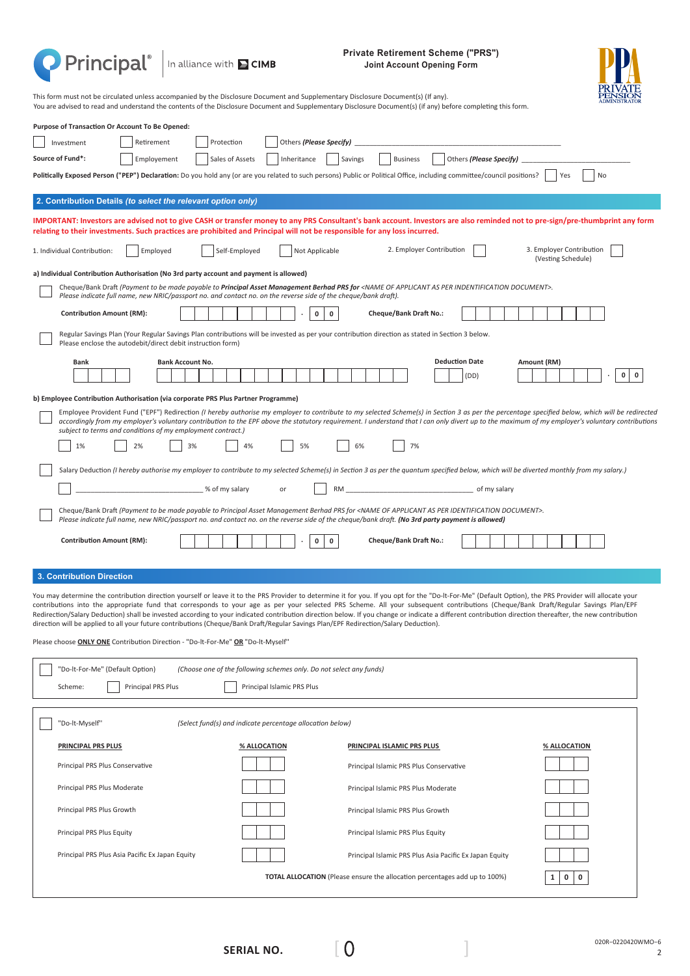| Principal <sup>®</sup> In alliance with <b>DCIMB</b>                                                                                                                                                                                                                                                                                                                                                                                                                                                                                                                                                                                                                                                                                              | <b>Private Retirement Scheme ("PRS")</b><br><b>Joint Account Opening Form</b>                                                                                                                                                                                                                                                                                                                       |  |  |  |  |  |  |  |
|---------------------------------------------------------------------------------------------------------------------------------------------------------------------------------------------------------------------------------------------------------------------------------------------------------------------------------------------------------------------------------------------------------------------------------------------------------------------------------------------------------------------------------------------------------------------------------------------------------------------------------------------------------------------------------------------------------------------------------------------------|-----------------------------------------------------------------------------------------------------------------------------------------------------------------------------------------------------------------------------------------------------------------------------------------------------------------------------------------------------------------------------------------------------|--|--|--|--|--|--|--|
| This form must not be circulated unless accompanied by the Disclosure Document and Supplementary Disclosure Document(s) (If any).<br>You are advised to read and understand the contents of the Disclosure Document and Supplementary Disclosure Document(s) (if any) before completing this form.                                                                                                                                                                                                                                                                                                                                                                                                                                                |                                                                                                                                                                                                                                                                                                                                                                                                     |  |  |  |  |  |  |  |
| Purpose of Transaction Or Account To Be Opened:                                                                                                                                                                                                                                                                                                                                                                                                                                                                                                                                                                                                                                                                                                   |                                                                                                                                                                                                                                                                                                                                                                                                     |  |  |  |  |  |  |  |
| Protection<br>Others (Please Specify) _<br>Retirement<br>Investment                                                                                                                                                                                                                                                                                                                                                                                                                                                                                                                                                                                                                                                                               |                                                                                                                                                                                                                                                                                                                                                                                                     |  |  |  |  |  |  |  |
| Source of Fund*:<br>Sales of Assets<br>Inheritance<br>Employement                                                                                                                                                                                                                                                                                                                                                                                                                                                                                                                                                                                                                                                                                 | Others (Please Specify)<br>Savings<br><b>Business</b>                                                                                                                                                                                                                                                                                                                                               |  |  |  |  |  |  |  |
| Politically Exposed Person ("PEP") Declaration: Do you hold any (or are you related to such persons) Public or Political Office, including committee/council positions?                                                                                                                                                                                                                                                                                                                                                                                                                                                                                                                                                                           | No<br>Yes                                                                                                                                                                                                                                                                                                                                                                                           |  |  |  |  |  |  |  |
| 2. Contribution Details (to select the relevant option only)                                                                                                                                                                                                                                                                                                                                                                                                                                                                                                                                                                                                                                                                                      |                                                                                                                                                                                                                                                                                                                                                                                                     |  |  |  |  |  |  |  |
| relating to their investments. Such practices are prohibited and Principal will not be responsible for any loss incurred.                                                                                                                                                                                                                                                                                                                                                                                                                                                                                                                                                                                                                         | IMPORTANT: Investors are advised not to give CASH or transfer money to any PRS Consultant's bank account. Investors are also reminded not to pre-sign/pre-thumbprint any form                                                                                                                                                                                                                       |  |  |  |  |  |  |  |
| Employed<br>Self-Employed<br>Not Applicable<br>1. Individual Contribution:                                                                                                                                                                                                                                                                                                                                                                                                                                                                                                                                                                                                                                                                        | 2. Employer Contribution<br>3. Employer Contribution<br>(Vesting Schedule)                                                                                                                                                                                                                                                                                                                          |  |  |  |  |  |  |  |
| a) Individual Contribution Authorisation (No 3rd party account and payment is allowed)                                                                                                                                                                                                                                                                                                                                                                                                                                                                                                                                                                                                                                                            |                                                                                                                                                                                                                                                                                                                                                                                                     |  |  |  |  |  |  |  |
| Cheque/Bank Draft (Payment to be made payable to Principal Asset Management Berhad PRS for <name applicant="" as="" document="" indentification="" of="" per="">.<br/>Please indicate full name, new NRIC/passport no. and contact no. on the reverse side of the cheque/bank draft).</name>                                                                                                                                                                                                                                                                                                                                                                                                                                                      |                                                                                                                                                                                                                                                                                                                                                                                                     |  |  |  |  |  |  |  |
| <b>Contribution Amount (RM):</b><br>$\mathbf 0$<br>0                                                                                                                                                                                                                                                                                                                                                                                                                                                                                                                                                                                                                                                                                              | Cheque/Bank Draft No.:                                                                                                                                                                                                                                                                                                                                                                              |  |  |  |  |  |  |  |
| Regular Savings Plan (Your Regular Savings Plan contributions will be invested as per your contribution direction as stated in Section 3 below.<br>Please enclose the autodebit/direct debit instruction form)                                                                                                                                                                                                                                                                                                                                                                                                                                                                                                                                    |                                                                                                                                                                                                                                                                                                                                                                                                     |  |  |  |  |  |  |  |
| <b>Bank Account No.</b><br>Bank                                                                                                                                                                                                                                                                                                                                                                                                                                                                                                                                                                                                                                                                                                                   | <b>Deduction Date</b><br>Amount (RM)                                                                                                                                                                                                                                                                                                                                                                |  |  |  |  |  |  |  |
|                                                                                                                                                                                                                                                                                                                                                                                                                                                                                                                                                                                                                                                                                                                                                   | 0<br>(DD)                                                                                                                                                                                                                                                                                                                                                                                           |  |  |  |  |  |  |  |
| b) Employee Contribution Authorisation (via corporate PRS Plus Partner Programme)                                                                                                                                                                                                                                                                                                                                                                                                                                                                                                                                                                                                                                                                 |                                                                                                                                                                                                                                                                                                                                                                                                     |  |  |  |  |  |  |  |
| subject to terms and conditions of my employment contract.)                                                                                                                                                                                                                                                                                                                                                                                                                                                                                                                                                                                                                                                                                       | Employee Provident Fund ("EPF") Redirection (I hereby authorise my employer to contribute to my selected Scheme(s) in Section 3 as per the percentage specified below, which will be redirected<br>accordingly from my employer's voluntary contribution to the EPF above the statutory requirement. I understand that I can only divert up to the maximum of my employer's voluntary contributions |  |  |  |  |  |  |  |
| 2%<br>3%<br>4%<br>5%<br>1%                                                                                                                                                                                                                                                                                                                                                                                                                                                                                                                                                                                                                                                                                                                        | 6%<br>7%                                                                                                                                                                                                                                                                                                                                                                                            |  |  |  |  |  |  |  |
|                                                                                                                                                                                                                                                                                                                                                                                                                                                                                                                                                                                                                                                                                                                                                   | Salary Deduction (I hereby authorise my employer to contribute to my selected Scheme(s) in Section 3 as per the quantum specified below, which will be diverted monthly from my salary.)                                                                                                                                                                                                            |  |  |  |  |  |  |  |
| % of my salary<br>or                                                                                                                                                                                                                                                                                                                                                                                                                                                                                                                                                                                                                                                                                                                              | <b>RM</b>                                                                                                                                                                                                                                                                                                                                                                                           |  |  |  |  |  |  |  |
| Cheque/Bank Draft (Payment to be made payable to Principal Asset Management Berhad PRS for <name applicant="" as="" document="" identification="" of="" per="">.<br/>Please indicate full name, new NRIC/passport no. and contact no. on the reverse side of the cheque/bank draft. (No 3rd party payment is allowed)</name>                                                                                                                                                                                                                                                                                                                                                                                                                      |                                                                                                                                                                                                                                                                                                                                                                                                     |  |  |  |  |  |  |  |
| $\mathbf 0$<br><b>Contribution Amount (RM):</b><br>0                                                                                                                                                                                                                                                                                                                                                                                                                                                                                                                                                                                                                                                                                              | Cheque/Bank Draft No.:                                                                                                                                                                                                                                                                                                                                                                              |  |  |  |  |  |  |  |
|                                                                                                                                                                                                                                                                                                                                                                                                                                                                                                                                                                                                                                                                                                                                                   |                                                                                                                                                                                                                                                                                                                                                                                                     |  |  |  |  |  |  |  |
| <b>3. Contribution Direction</b>                                                                                                                                                                                                                                                                                                                                                                                                                                                                                                                                                                                                                                                                                                                  |                                                                                                                                                                                                                                                                                                                                                                                                     |  |  |  |  |  |  |  |
| You may determine the contribution direction yourself or leave it to the PRS Provider to determine it for you. If you opt for the "Do-It-For-Me" (Default Option), the PRS Provider will allocate your<br>contributions into the appropriate fund that corresponds to your age as per your selected PRS Scheme. All your subsequent contributions (Cheque/Bank Draft/Regular Savings Plan/EPF<br>Redirection/Salary Deduction) shall be invested according to your indicated contribution direction below. If you change or indicate a different contribution direction thereafter, the new contribution<br>direction will be applied to all your future contributions (Cheque/Bank Draft/Regular Savings Plan/EPF Redirection/Salary Deduction). |                                                                                                                                                                                                                                                                                                                                                                                                     |  |  |  |  |  |  |  |
| Please choose <b>ONLY ONE</b> Contribution Direction - "Do-lt-For-Me" OR "Do-lt-Myself"                                                                                                                                                                                                                                                                                                                                                                                                                                                                                                                                                                                                                                                           |                                                                                                                                                                                                                                                                                                                                                                                                     |  |  |  |  |  |  |  |
| "Do-lt-For-Me" (Default Option)<br>(Choose one of the following schemes only. Do not select any funds)                                                                                                                                                                                                                                                                                                                                                                                                                                                                                                                                                                                                                                            |                                                                                                                                                                                                                                                                                                                                                                                                     |  |  |  |  |  |  |  |
| Principal PRS Plus<br>Principal Islamic PRS Plus<br>Scheme:                                                                                                                                                                                                                                                                                                                                                                                                                                                                                                                                                                                                                                                                                       |                                                                                                                                                                                                                                                                                                                                                                                                     |  |  |  |  |  |  |  |
| "Do-It-Myself"<br>(Select fund(s) and indicate percentage allocation below)                                                                                                                                                                                                                                                                                                                                                                                                                                                                                                                                                                                                                                                                       |                                                                                                                                                                                                                                                                                                                                                                                                     |  |  |  |  |  |  |  |
| <b>PRINCIPAL PRS PLUS</b><br>% ALLOCATION                                                                                                                                                                                                                                                                                                                                                                                                                                                                                                                                                                                                                                                                                                         | PRINCIPAL ISLAMIC PRS PLUS<br>% ALLOCATION                                                                                                                                                                                                                                                                                                                                                          |  |  |  |  |  |  |  |
| Principal PRS Plus Conservative                                                                                                                                                                                                                                                                                                                                                                                                                                                                                                                                                                                                                                                                                                                   | Principal Islamic PRS Plus Conservative                                                                                                                                                                                                                                                                                                                                                             |  |  |  |  |  |  |  |

Principal Islamic PRS Plus Moderate Principal Islamic PRS Plus Growth Principal Islamic PRS Plus Equity

Principal Islamic PRS Plus Asia Pacific Ex Japan Equity **TOTAL ALLOCATION** (Please ensure the allocation percentages add up to 100%) **1 1 0 0** 

**SERIAL NO.**  $[0 \quad ]$ 

T T

Principal PRS Plus Moderate Principal PRS Plus Growth Principal PRS Plus Equity

Principal PRS Plus Asia Pacific Ex Japan Equity

 $\overline{\phantom{a}}$  $\overline{\phantom{0}}$ 

2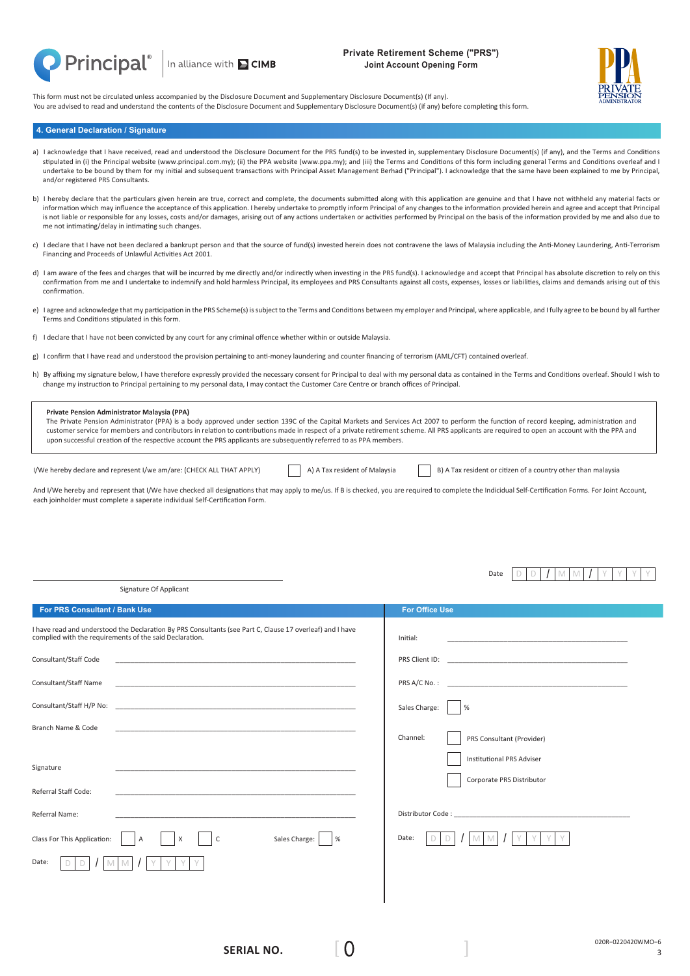Principal<sup>®</sup> In alliance with **DCIMB** 



This form must not be circulated unless accompanied by the Disclosure Document and Supplementary Disclosure Document(s) (If any). You are advised to read and understand the contents of the Disclosure Document and Supplementary Disclosure Document(s) (if any) before completing this form.

# **4. General Declaration / Signature**

- I acknowledge that I have received, read and understood the Disclosure Document for the PRS fund(s) to be invested in, supplementary Disclosure Document(s) (if any), and the Terms and Conditions stipulated in (i) the Principal website (www.principal.com.my); (ii) the PPA website (www.ppa.my); and (iii) the Terms and Conditions of this form including general Terms and Conditions overleaf and I undertake to be bound by them for my initial and subsequent transactions with Principal Asset Management Berhad ("Principal"). I acknowledge that the same have been explained to me by Principal. and/or registered PRS Consultants.
- b) I hereby declare that the particulars given herein are true, correct and complete, the documents submitted along with this application are genuine and that I have not withheld any material facts or information which may influence the acceptance of this application. I hereby undertake to promptly inform Principal of any changes to the information provided herein and agree and accept that Principal is not liable or responsible for any losses, costs and/or damages, arising out of any actions undertaken or activities performed by Principal on the basis of the information provided by me and also due to me not intimating/delay in intimating such changes.
- c) I declare that I have not been declared a bankrupt person and that the source of fund(s) invested herein does not contravene the laws of Malaysia including the Anti-Money Laundering, Anti-Terrorism Financing and Proceeds of Unlawful Activities Act 2001.
- d) I am aware of the fees and charges that will be incurred by me directly and/or indirectly when investing in the PRS fund(s). I acknowledge and accept that Principal has absolute discretion to rely on this confirmation from me and I undertake to indemnify and hold harmless Principal, its employees and PRS Consultants against all costs, expenses, losses or liabilities, claims and demands arising out of this confirmation.
- e) I agree and acknowledge that my participation in the PRS Scheme(s) is subject to the Terms and Conditions between my employer and Principal, where applicable, and I fully agree to be bound by all further Terms and Conditions stipulated in this form.
- f) I declare that I have not been convicted by any court for any criminal offence whether within or outside Malaysia.
- g) I confirm that I have read and understood the provision pertaining to anti-money laundering and counter financing of terrorism (AML/CFT) contained overleaf.
- h) By affixing my signature below, I have therefore expressly provided the necessary consent for Principal to deal with my personal data as contained in the Terms and Conditions overleaf. Should I wish to change my instruction to Principal pertaining to my personal data, I may contact the Customer Care Centre or branch offices of Principal.

| Private Pension Administrator Malaysia (PPA)                                                                                                                                                                                                                                                                                                                                                                                                                                                                     |
|------------------------------------------------------------------------------------------------------------------------------------------------------------------------------------------------------------------------------------------------------------------------------------------------------------------------------------------------------------------------------------------------------------------------------------------------------------------------------------------------------------------|
| The Private Pension Administrator (PPA) is a body approved under section 139C of the Capital Markets and Services Act 2007 to perform the function of record keeping, administration and<br>customer service for members and contributors in relation to contributions made in respect of a private retirement scheme. All PRS applicants are required to open an account with the PPA and<br>upon successful creation of the respective account the PRS applicants are subsequently referred to as PPA members. |
|                                                                                                                                                                                                                                                                                                                                                                                                                                                                                                                  |

I/We hereby declare and represent I/we am/are: (CHECK ALL THAT APPLY)

A) A Tax resident of Malaysia  $\Box$  B) A Tax resident or citizen of a country other than malaysia

D D **/** M M **/** Y Y Y Y

Date

And I/We hereby and represent that I/We have checked all designations that may apply to me/us. If B is checked, you are required to complete the Indicidual Self-Certification Forms. For Joint Account, each joinholder must complete a saperate individual Self-Certification Form.

| Signature Of Applicant                                                                                                                                               |                                                             |
|----------------------------------------------------------------------------------------------------------------------------------------------------------------------|-------------------------------------------------------------|
| For PRS Consultant / Bank Use                                                                                                                                        | <b>For Office Use</b>                                       |
| I have read and understood the Declaration By PRS Consultants (see Part C, Clause 17 overleaf) and I have<br>complied with the requirements of the said Declaration. | Initial:                                                    |
| Consultant/Staff Code                                                                                                                                                |                                                             |
| Consultant/Staff Name                                                                                                                                                |                                                             |
|                                                                                                                                                                      | Sales Charge:<br>%                                          |
| Branch Name & Code                                                                                                                                                   | Channel:<br>PRS Consultant (Provider)                       |
| Signature                                                                                                                                                            | <b>Institutional PRS Adviser</b>                            |
| Referral Staff Code:                                                                                                                                                 | Corporate PRS Distributor                                   |
| Referral Name:                                                                                                                                                       | Distributor Code: The Communication of the Contractor Code: |
| $\mathsf C$<br>Sales Charge:<br>Class For This Application:<br>%<br>X<br>$\overline{A}$                                                                              | Date:                                                       |
| Date:                                                                                                                                                                |                                                             |
|                                                                                                                                                                      |                                                             |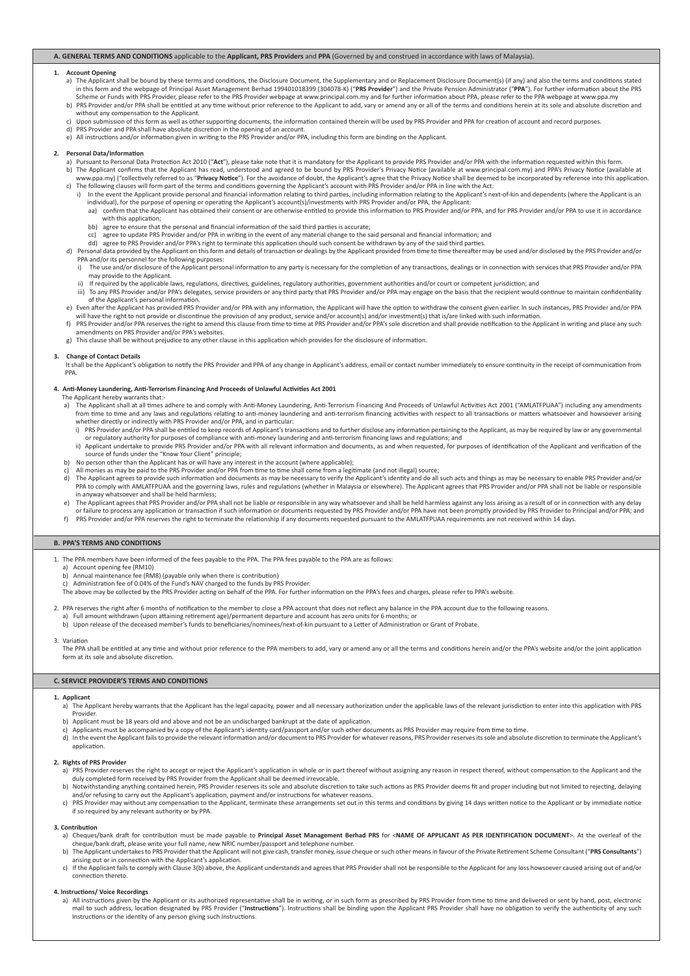# **A. GENERAL TERMS AND CONDITIONS** applicable to the **Applicant, PRS Providers** and **PPA** (Governed by and construed in accordance with laws of Malaysia).

#### **1. Account Opening**

- a) The Applicant shall be bound by these terms and conditions, the Disclosure Document, the Supplementary and or Replacement Disclosure Document(s) (if any) and also the terms and conditions stated in this form and the webpage of Principal Asset Management Berhad 199401018399 (304078-K) ("**PRS Provider**") and the Private Pension Administrator ("**PPA**"). For further information about the PRS Scheme or Funds with PRS Provider, please refer to the PRS Provider webpage at www.principal.com.my and for further information about PPA, please refer to the PPA webpage at www.ppa.my b) PRS Provider and/or PPA shall be entitled at any time without prior reference to the Applicant to add, vary or amend any or all of the terms and conditions herein at its sole and absolute discretion and
- without any compensation to the Applicant. c) Upon submission of this form as well as other supporting documents, the information contained therein will be used by PRS Provider and PPA for creation of account and record purposes.
- 
- d) PRS Provider and PPA shall have absolute discretion in the opening of an account. e) All instructions and/or information given in writing to the PRS Provider and/or PPA, including this form are binding on the Applicant.

#### **2. Personal Data/Information**

- a) Pursuant to Personal Data Protection Act 2010 ("Act"), please take note that it is mandatory for the Applicant to provide PRS Provider and/or PPA with the information requested within this form.<br>b) The Applicant confirm
- www.ppa.my) ("collectively referred to as "**Privacy Notice**"). For the avoidance of doubt, the Applicant's agree that the Privacy Notice shall be deemed to be incorporated by reference into this application<br>c) The followin
	- i) In the event the Applicant provide personal and financial information relating to third parties, including information relating to the Applicant's next-of-kin and dependents (where the Applicant is an individual), for the purpose of opening or operating the Applicant's account(s)/investments with PRS Provider and/or PPA, the Applicant:
		- aa) confirm that the Applicant has obtained their consent or are otherwise entitled to provide this information to PRS Provider and/or PPA, and for PRS Provider and/or PPA to use it in accordance with this application;
			-
- bb) agree to ensure that the personal and financial information of the said third parties is accurate;<br>cc) agree to update PRS Provider and/or PPA in writing in the event of any material change to the said personal and fin
	- dd) agree to PRS Provider and/or PPA's right to terminate this application should such consent be withdrawn by any of the said third parties.
	- d) Personal data provided by the Applicant on this form and details of transaction or dealings by the Applicant provided from time to time thereafter may be used and/or disclosed by the PRS Provider and/or PPA and/or its personnel for the following purposes:
		- i) The use and/or disclosure of the Applicant personal information to any party is necessary for the completion of any transactions, dealings or in connection with services that PRS Provider and/or PPA may provide to the Applicant.
		- ii) If required by the applicable laws, regulations, directives, guidelines, regulatory authorities, government authorities and/or court or competent jurisdiction; and iii) To any PRS Provider and/or PPA's delegates, service providers or any third party that PRS Provider and/or PPA may engage on the basis that the recipient would continue to maintain confidentiality of the Applicant's personal information.
- e) Even after the Applicant has provided PRS Provider and/or PPA with any information, the Applicant will have the option to withdraw the consent given earlier. In such instances, PRS Provider and/or PPA<br>will have the righ
	- f) PRS Provider and/or PPA reserves the right to amend this clause from time to time at PRS Provider and/or PPA's sole discretion and shall provide notification to the Applicant in writing and place any such amendments on PRS Provider and/or PPA's websites.
	- g) This clause shall be without prejudice to any other clause in this application which provides for the disclosure of information.

### **3. Change of Contact Details**

It shall be the Applicant's obligation to notify the PRS Provider and PPA of any change in Applicant's address, email or contact number immediately to ensure continuity in the receipt of communication from PPA.

#### **4. Anti-Money Laundering, Anti-Terrorism Financing And Proceeds of Unlawful Activities Act 2001**

- The Applicant hereby warrants that:-
- a) The Applicant shall at all times adhere to and comply with Anti-Money Laundering, Anti-Terrorism Financing And Proceeds of Unlawful Activities Act 2001 ("AMLATFPUAA") including any amendments<br>from time to time and any l whether directly or indirectly with PRS Provider and/or PPA, and in particular:<br>i) PRS Provider and/or PPA shall be entitled to keep records of Applicant's transactions and to further disclose any information pertaining to
- or regulatory authority for purposes of compliance with anti-money laundering and anti-terrorism financing laws and regulations; and<br>ii) Applicant undertake to provide PRS Provider and/or PPA with all relevant information
	- source of funds under the "Know Your Client" principle;
	- b) No person other than the Applicant has or will have any interest in the account (where applicable);
	-
- c) All monies as may be paid to the PRS Provider and/or PPA from time to time shall come from a legitimate (and not illegal) source;<br>d) The Applicant agrees to provide such information and documents as may be necessary to PPA to comply with AMLATFPUAA and the governing laws, rules and regulations (whether in Malaysia or elsewhere). The Applicant agrees that PRS Provider and/or PPA shall not be liable or responsible in anyway whatsoever and shall be held harmless;
	- e) The Applicant agrees that PRS Provider and/or PPA shall not be liable or responsible in any way whatsoever and shall be held harmless against any loss arising as a result of or in connection with any delay or failure to process any application or transaction if such information or documents requested by PRS Provider and/or PPA have not been promptly provided by PRS Provider to Principal and/or PPA; and
- f) PRS Provider and/or PPA reserves the right to terminate the relationship if any documents requested pursuant to the AMLATFPUAA requirements are not received within 14 days.

# **B. PPA'S TERMS AND CONDITIONS**

- 1. The PPA members have been informed of the fees payable to the PPA. The PPA fees payable to the PPA are as follows:
- 
- 
- a) Account opening fee (RM10) b) Annual maintenance fee (RM8) (payable only when there is contribution) c) Administration fee of 0.04% of the Fund's NAV charged to the funds by PRS Provider.

The above may be collected by the PRS Provider acting on behalf of the PPA. For further information on the PPA's fees and charges, please refer to PPA's website.

- 2. PPA reserves the right after 6 months of notification to the member to close a PPA account that does not reflect any balance in the PPA account due to the following reasons.
- 
- a) Full amount withdrawn (upon attaining retirement age)/permanent departure and account has zero units for 6 months; or<br>b) Upon release of the deceased member's funds to beneficiaries/nominees/next-of-kin pursuant to a Le

## 3. Variation

The PPA shall be entitled at any time and without prior reference to the PPA members to add, vary or amend any or all the terms and conditions herein and/or the PPA's website and/or the joint application form at its sole and absolute discretion.

# **C. SERVICE PROVIDER'S TERMS AND CONDITIONS**

## **1. Applicant**

- a) The Applicant hereby warrants that the Applicant has the legal capacity, power and all necessary authorization under the applicable laws of the relevant jurisdiction to enter into this application with PRS Provider.
- b) Applicant must be 18 years old and above and not be an undischarged bankrupt at the date of application.
- c) Applicants must be accompanied by a copy of the Applicant's identity card/passport and/or such other documents as PRS Provider may require from time to time.
- d) In the event the Applicant fails to provide the relevant information and/or document to PRS Provider for whatever reasons, PRS Provider reserves its sole and absolute discretion to terminate the Applicant's application.

#### **2. Rights of PRS Provider**

- PRS Provider reserves the right to accept or reject the Applicant's application in whole or in part thereof without assigning any reason in respect thereof, without compensation to the Applicant and the duly completed form received by PRS Provider from the Applicant shall be deemed irrevocable.<br>b) Notwithstanding anything contained herein, PRS Provider reserves its sole and absolute discretion to take such actions as PRS
- and/or refusing to carry out the Applicant's application, payment and/or instructions for whatever reasons.
- c) PRS Provider may without any compensation to the Applicant, terminate these arrangements set out in this terms and conditions by giving 14 days written notice to the Applicant or by immediate notice if so required by any relevant authority or by PPA.

#### **3. Contribution**

- a) Cheques/bank draft for contribution must be made payable to Principal Asset Management Berhad PRS for <NAME OF APPLICANT AS PER IDENTIFICATION DOCUMENT>. At the overleaf of the<br>cheque/bank draft, please write your full
	- b) The Applicant undertakes to PRS Provider that the Applicant will not give cash, transfer money, issue cheque or such other means in favour of the Private Retirement Scheme Consultant ("**PRS Consultants**") b) The Applica arising out or in connection with the Applicant's application.
	- c) If the Applicant fails to comply with Clause 3(b) above, the Applicant understands and agrees that PRS Provider shall not be responsible to the Applicant for any loss howsoever caused arising out of and/or connection thereto.

#### **4. Instructions/ Voice Recordings**

a) All instructions given by the Applicant or its authorized representative shall be in writing, or in such form as prescribed by PRS Provider from time to time and delivered or sent by hand, post, electronic mail to such address, location designated by PRS Provider ("Instructions"). Instructions shall be binding upon the Applicant PRS Provider shall have no obligation to verify the authenticity of any such Instructions or the identity of any person giving such Instructions.